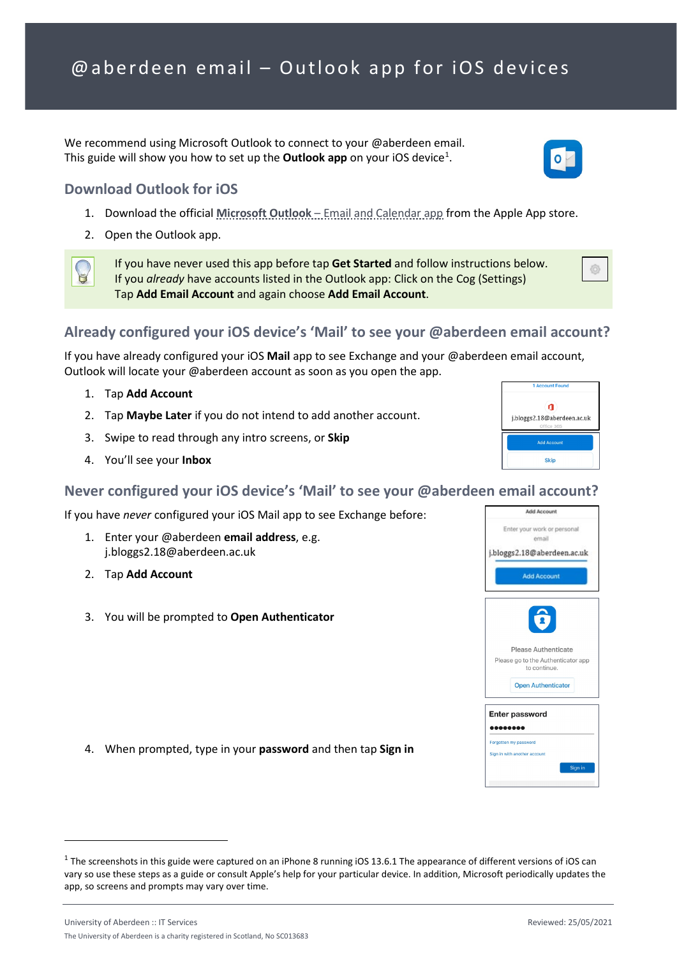We recommend using Microsoft Outlook to connect to your @aberdeen email. This guide will show you how to set up the **Outlook app** on your iOS device<sup>[1](#page-0-0)</sup>.

## **Download Outlook for iOS**

- 1. Download the official **Microsoft Outlook** [Email and Calendar app](https://apps.apple.com/app/id951937596) from the Apple App store.
- 2. Open the Outlook app.

If you have never used this app before tap **Get Started** and follow instructions below. If you *already* have accounts listed in the Outlook app: Click on the Cog (Settings) Tap **Add Email Account** and again choose **Add Email Account**.

# **Already configured your iOS device's 'Mail' to see your @aberdeen email account?**

If you have already configured your iOS **Mail** app to see Exchange and your @aberdeen email account, Outlook will locate your @aberdeen account as soon as you open the app.

- 1. Tap **Add Account**
- 2. Tap **Maybe Later** if you do not intend to add another account.
- 3. Swipe to read through any intro screens, or **Skip**
- 4. You'll see your **Inbox**

#### **Never configured your iOS device's 'Mail' to see your @aberdeen email account?**

If you have *never* configured your iOS Mail app to see Exchange before:

- 1. Enter your @aberdeen **email address**, e.g. j.bloggs2.18@aberdeen.ac.uk
- 2. Tap **Add Account**
- 3. You will be prompted to **Open Authenticator**

4. When prompted, type in your **password** and then tap **Sign in**



 $\mathbf{a}$ j.bloggs2.18@aberdeen.ac.uk





<span id="page-0-0"></span> $1$  The screenshots in this guide were captured on an iPhone 8 running iOS 13.6.1 The appearance of different versions of iOS can vary so use these steps as a guide or consult Apple's help for your particular device. In addition, Microsoft periodically updates the app, so screens and prompts may vary over time.